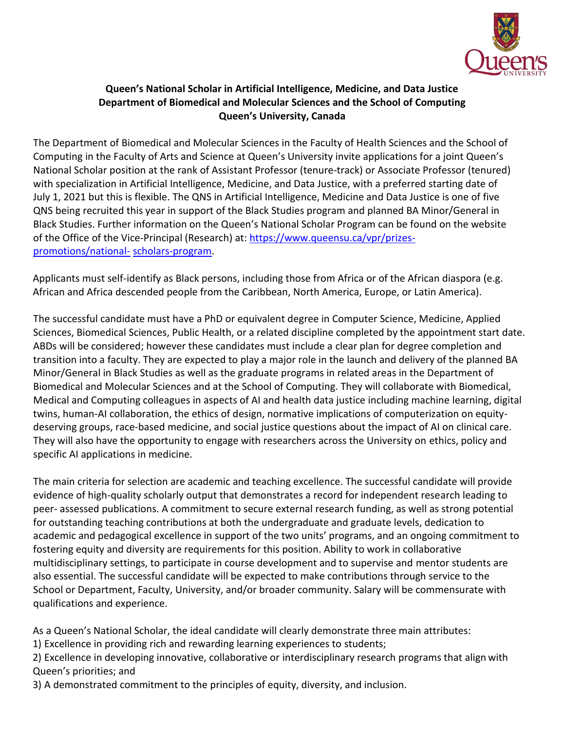

## **Queen's National Scholar in Artificial Intelligence, Medicine, and Data Justice Department of Biomedical and Molecular Sciences and the School of Computing Queen's University, Canada**

The Department of Biomedical and Molecular Sciences in the Faculty of Health Sciences and the School of Computing in the Faculty of Arts and Science at Queen's University invite applications for a joint Queen's National Scholar position at the rank of Assistant Professor (tenure-track) or Associate Professor (tenured) with specialization in Artificial Intelligence, Medicine, and Data Justice, with a preferred starting date of July 1, 2021 but this is flexible. The QNS in Artificial Intelligence, Medicine and Data Justice is one of five QNS being recruited this year in support of the Black Studies program and planned BA Minor/General in Black Studies. Further information on the Queen's National Scholar Program can be found on the website of the Office of the Vice-Principal (Research) at: [https://www.queensu.ca/vpr/prizes](https://www.queensu.ca/vpr/prizes-promotions/national-scholars-program)[promotions/national-](https://www.queensu.ca/vpr/prizes-promotions/national-scholars-program) [scholars-program.](https://www.queensu.ca/vpr/prizes-promotions/national-scholars-program)

Applicants must self-identify as Black persons, including those from Africa or of the African diaspora (e.g. African and Africa descended people from the Caribbean, North America, Europe, or Latin America).

The successful candidate must have a PhD or equivalent degree in Computer Science, Medicine, Applied Sciences, Biomedical Sciences, Public Health, or a related discipline completed by the appointment start date. ABDs will be considered; however these candidates must include a clear plan for degree completion and transition into a faculty. They are expected to play a major role in the launch and delivery of the planned BA Minor/General in Black Studies as well as the graduate programs in related areas in the Department of Biomedical and Molecular Sciences and at the School of Computing. They will collaborate with Biomedical, Medical and Computing colleagues in aspects of AI and health data justice including machine learning, digital twins, human‐AI collaboration, the ethics of design, normative implications of computerization on equitydeserving groups, race-based medicine, and social justice questions about the impact of AI on clinical care. They will also have the opportunity to engage with researchers across the University on ethics, policy and specific AI applications in medicine.

The main criteria for selection are academic and teaching excellence. The successful candidate will provide evidence of high-quality scholarly output that demonstrates a record for independent research leading to peer‐ assessed publications. A commitment to secure external research funding, as well as strong potential for outstanding teaching contributions at both the undergraduate and graduate levels, dedication to academic and pedagogical excellence in support of the two units' programs, and an ongoing commitment to fostering equity and diversity are requirements for this position. Ability to work in collaborative multidisciplinary settings, to participate in course development and to supervise and mentor students are also essential. The successful candidate will be expected to make contributions through service to the School or Department, Faculty, University, and/or broader community. Salary will be commensurate with qualifications and experience.

As a Queen's National Scholar, the ideal candidate will clearly demonstrate three main attributes:

1) Excellence in providing rich and rewarding learning experiences to students;

2) Excellence in developing innovative, collaborative or interdisciplinary research programs that align with Queen's priorities; and

3) A demonstrated commitment to the principles of equity, diversity, and inclusion.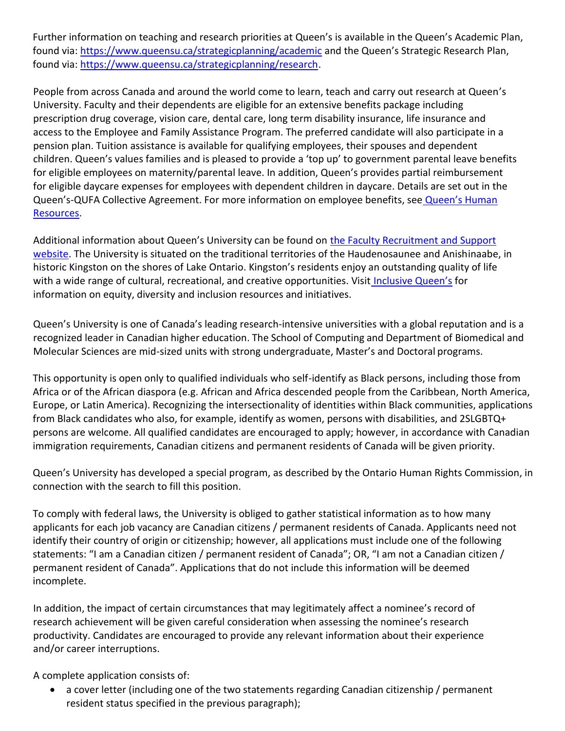Further information on teaching and research priorities at Queen's is available in the Queen's Academic Plan, found via:<https://www.queensu.ca/strategicplanning/academic> and the Queen's Strategic Research Plan, found via: [https://www.queensu.ca/strategicplanning/research.](https://www.queensu.ca/strategicplanning/research)

People from across Canada and around the world come to learn, teach and carry out research at Queen's University. Faculty and their dependents are eligible for an extensive benefits package including prescription drug coverage, vision care, dental care, long term disability insurance, life insurance and access to the Employee and Family Assistance Program. The preferred candidate will also participate in a pension plan. Tuition assistance is available for qualifying employees, their spouses and dependent children. Queen's values families and is pleased to provide a 'top up' to government parental leave benefits for eligible employees on maternity/parental leave. In addition, Queen's provides partial reimbursement for eligible daycare expenses for employees with dependent children in daycare. Details are set out in the Queen's-QUFA Collective Agreement. For more information on employee benefits, see [Queen's Human](http://www.queensu.ca/humanresources) [Resources.](http://www.queensu.ca/humanresources)

Additional information about Queen's University can be found on [the Faculty Recruitment and Support](https://www.queensu.ca/facultyrecruitment/home) [website.](https://www.queensu.ca/facultyrecruitment/home) The University is situated on the traditional territories of the Haudenosaunee and Anishinaabe, in historic Kingston on the shores of Lake Ontario. Kingston's residents enjoy an outstanding quality of life with a wide range of cultural, recreational, and creative opportunities. Visit [Inclusive Queen's](https://www.queensu.ca/inclusive/content/home) for information on equity, diversity and inclusion resources and initiatives.

Queen's University is one of Canada's leading research‐intensive universities with a global reputation and is a recognized leader in Canadian higher education. The School of Computing and Department of Biomedical and Molecular Sciences are mid-sized units with strong undergraduate, Master's and Doctoral programs.

This opportunity is open only to qualified individuals who self-identify as Black persons, including those from Africa or of the African diaspora (e.g. African and Africa descended people from the Caribbean, North America, Europe, or Latin America). Recognizing the intersectionality of identities within Black communities, applications from Black candidates who also, for example, identify as women, persons with disabilities, and 2SLGBTQ+ persons are welcome. All qualified candidates are encouraged to apply; however, in accordance with Canadian immigration requirements, Canadian citizens and permanent residents of Canada will be given priority.

Queen's University has developed a special program, as described by the Ontario Human Rights Commission, in connection with the search to fill this position.

To comply with federal laws, the University is obliged to gather statistical information as to how many applicants for each job vacancy are Canadian citizens / permanent residents of Canada. Applicants need not identify their country of origin or citizenship; however, all applications must include one of the following statements: "I am a Canadian citizen / permanent resident of Canada"; OR, "I am not a Canadian citizen / permanent resident of Canada". Applications that do not include this information will be deemed incomplete.

In addition, the impact of certain circumstances that may legitimately affect a nominee's record of research achievement will be given careful consideration when assessing the nominee's research productivity. Candidates are encouraged to provide any relevant information about their experience and/or career interruptions.

A complete application consists of:

• a cover letter (including one of the two statements regarding Canadian citizenship / permanent resident status specified in the previous paragraph);